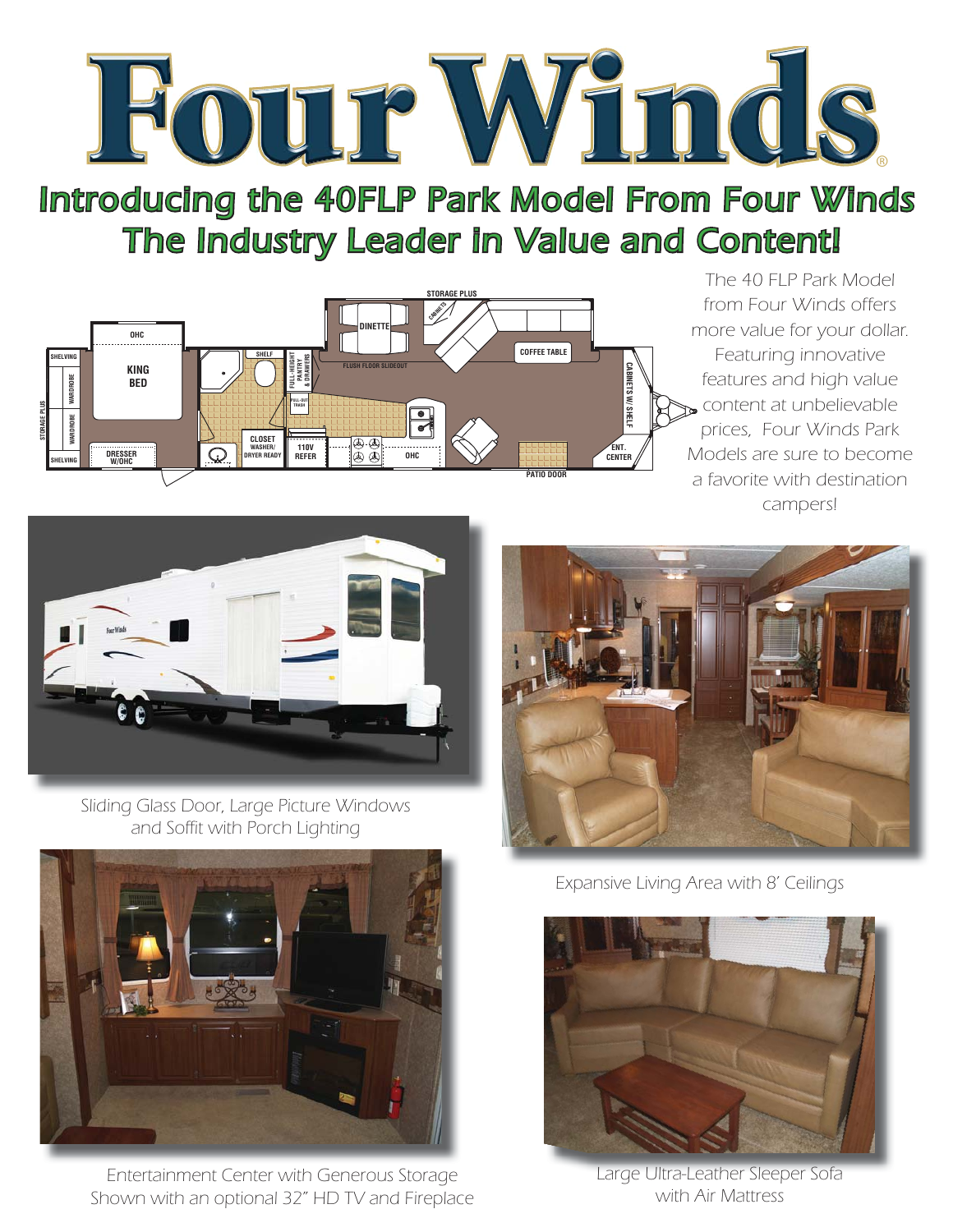

Introducing the 40FLP Park Model From Four Winds The Industry Leader in Value and Content!



The 40 FLP Park Model from Four Winds offers more value for your dollar. Featuring innovative features and high value content at unbelievable prices, Four Winds Park Models are sure to become a favorite with destination campers!



Sliding Glass Door, Large Picture Windows and Soffit with Porch Lighting



Entertainment Center with Generous Storage Shown with an optional 32" HD TV and Fireplace



Expansive Living Area with 8' Ceilings



Large Ultra-Leather Sleeper Sofa with Air Mattress